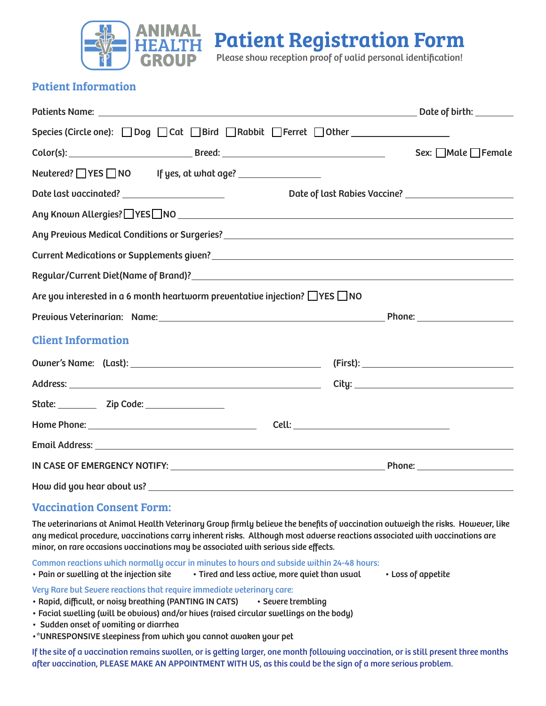

Patient Registration Form

Please show reception proof of valid personal identification!

## Patient Information

|                                                                                                                | Date of birth: ________                                |
|----------------------------------------------------------------------------------------------------------------|--------------------------------------------------------|
|                                                                                                                |                                                        |
|                                                                                                                | $Sex:$ $\Box$ Male $\Box$ Female                       |
| Neutered? VES NO If yes, at what age? <u>Verman Veneta</u>                                                     |                                                        |
|                                                                                                                | Date of last Rabies Vaccine? _________________________ |
| Any Known Allergies? UYES UNO University of the Contract of Angle Contract of the Contract of Angle Contract o |                                                        |
|                                                                                                                |                                                        |
|                                                                                                                |                                                        |
|                                                                                                                |                                                        |
| Are you interested in a 6 month heartworm preventative injection? $\Box$ YES $\Box$ NO                         |                                                        |
|                                                                                                                |                                                        |
| <b>Client Information</b>                                                                                      |                                                        |
|                                                                                                                |                                                        |
|                                                                                                                |                                                        |
| State: _____________ Zip Code: ___________________                                                             |                                                        |
|                                                                                                                |                                                        |
|                                                                                                                |                                                        |
|                                                                                                                |                                                        |
|                                                                                                                |                                                        |

## Vaccination Consent Form:

The veterinarians at Animal Health Veterinary Group firmly believe the benefits of vaccination outweigh the risks. However, like any medical procedure, vaccinations carry inherent risks. Although most adverse reactions associated with vaccinations are minor, on rare occasions vaccinations may be associated with serious side effects.

Common reactions which normally occur in minutes to hours and subside within 24-48 hours:

• Pain or swelling at the injection site • Tired and less active, more quiet than usual • Loss of appetite

Very Rare but Severe reactions that require immediate veterinary care:

- Rapid, difficult, or noisy breathing (PANTING IN CATS) Severe trembling
- Facial swelling (will be obvious) and/or hives (raised circular swellings on the body)
- Sudden onset of vomiting or diarrhea
- •\*UNRESPONSIVE sleepiness from which you cannot awaken your pet

If the site of a vaccination remains swollen, or is getting larger, one month following vaccination, or is still present three months after vaccination, PLEASE MAKE AN APPOINTMENT WITH US, as this could be the sign of a more serious problem.